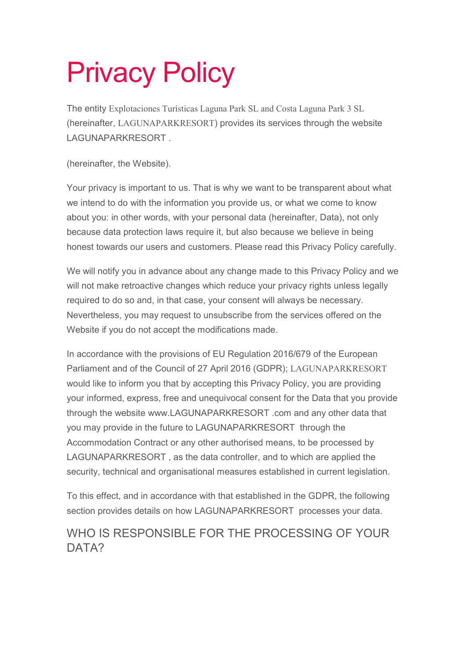# Privacy Policy

The entity Explotaciones Turísticas Laguna Park SL and Costa Laguna Park 3 SL (hereinafter, LAGUNAPARKRESORT) provides its services through the website LAGUNAPARKRESORT .

(hereinafter, the Website).

Your privacy is important to us. That is why we want to be transparent about what we intend to do with the information you provide us, or what we come to know about you: in other words, with your personal data (hereinafter, Data), not only because data protection laws require it, but also because we believe in being honest towards our users and customers. Please read this Privacy Policy carefully.

We will notify you in advance about any change made to this Privacy Policy and we will not make retroactive changes which reduce your privacy rights unless legally required to do so and, in that case, your consent will always be necessary. Nevertheless, you may request to unsubscribe from the services offered on the Website if you do not accept the modifications made.

In accordance with the provisions of EU Regulation 2016/679 of the European Parliament and of the Council of 27 April 2016 (GDPR); LAGUNAPARKRESORT would like to inform you that by accepting this Privacy Policy, you are providing your informed, express, free and unequivocal consent for the Data that you provide through the website www.LAGUNAPARKRESORT .com and any other data that you may provide in the future to LAGUNAPARKRESORT through the Accommodation Contract or any other authorised means, to be processed by LAGUNAPARKRESORT , as the data controller, and to which are applied the security, technical and organisational measures established in current legislation.

To this effect, and in accordance with that established in the GDPR, the following section provides details on how LAGUNAPARKRESORT processes your data.

#### WHO IS RESPONSIBLE FOR THE PROCESSING OF YOUR DATA?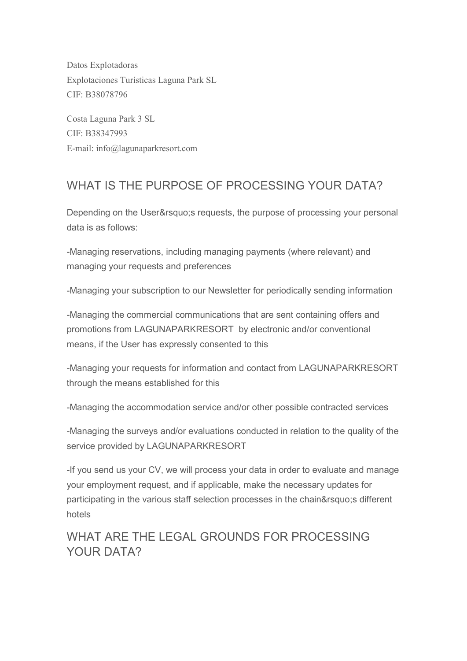Datos Explotadoras Explotaciones Turísticas Laguna Park SL CIF: B38078796

Costa Laguna Park 3 SL CIF: B38347993 E-mail: info@lagunaparkresort.com

## WHAT IS THE PURPOSE OF PROCESSING YOUR DATA?

Depending on the User' srequests, the purpose of processing your personal data is as follows:

-Managing reservations, including managing payments (where relevant) and managing your requests and preferences

-Managing your subscription to our Newsletter for periodically sending information

-Managing the commercial communications that are sent containing offers and promotions from LAGUNAPARKRESORT by electronic and/or conventional means, if the User has expressly consented to this

-Managing your requests for information and contact from LAGUNAPARKRESORT through the means established for this

-Managing the accommodation service and/or other possible contracted services

-Managing the surveys and/or evaluations conducted in relation to the quality of the service provided by LAGUNAPARKRESORT

-If you send us your CV, we will process your data in order to evaluate and manage your employment request, and if applicable, make the necessary updates for participating in the various staff selection processes in the chain's different hotels

#### WHAT ARE THE LEGAL GROUNDS FOR PROCESSING YOUR DATA?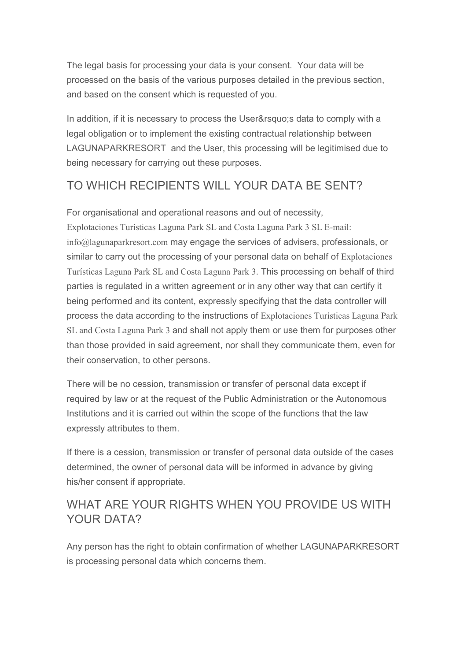The legal basis for processing your data is your consent. Your data will be processed on the basis of the various purposes detailed in the previous section, and based on the consent which is requested of you.

In addition, if it is necessary to process the User' a data to comply with a legal obligation or to implement the existing contractual relationship between LAGUNAPARKRESORT and the User, this processing will be legitimised due to being necessary for carrying out these purposes.

### TO WHICH RECIPIENTS WILL YOUR DATA BE SENT?

For organisational and operational reasons and out of necessity, Explotaciones Turísticas Laguna Park SL and Costa Laguna Park 3 SL E-mail: info@lagunaparkresort.com may engage the services of advisers, professionals, or similar to carry out the processing of your personal data on behalf of Explotaciones Turísticas Laguna Park SL and Costa Laguna Park 3. This processing on behalf of third parties is regulated in a written agreement or in any other way that can certify it being performed and its content, expressly specifying that the data controller will process the data according to the instructions of Explotaciones Turísticas Laguna Park SL and Costa Laguna Park 3 and shall not apply them or use them for purposes other than those provided in said agreement, nor shall they communicate them, even for their conservation, to other persons.

There will be no cession, transmission or transfer of personal data except if required by law or at the request of the Public Administration or the Autonomous Institutions and it is carried out within the scope of the functions that the law expressly attributes to them.

If there is a cession, transmission or transfer of personal data outside of the cases determined, the owner of personal data will be informed in advance by giving his/her consent if appropriate.

#### WHAT ARE YOUR RIGHTS WHEN YOU PROVIDE US WITH YOUR DATA?

Any person has the right to obtain confirmation of whether LAGUNAPARKRESORT is processing personal data which concerns them.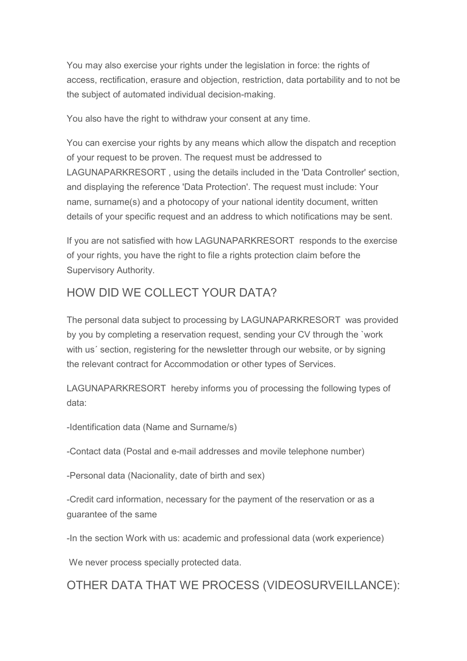You may also exercise your rights under the legislation in force: the rights of access, rectification, erasure and objection, restriction, data portability and to not be the subject of automated individual decision-making.

You also have the right to withdraw your consent at any time.

You can exercise your rights by any means which allow the dispatch and reception of your request to be proven. The request must be addressed to LAGUNAPARKRESORT , using the details included in the 'Data Controller' section, and displaying the reference 'Data Protection'. The request must include: Your name, surname(s) and a photocopy of your national identity document, written details of your specific request and an address to which notifications may be sent.

If you are not satisfied with how LAGUNAPARKRESORT responds to the exercise of your rights, you have the right to file a rights protection claim before the Supervisory Authority.

## HOW DID WE COLLECT YOUR DATA?

The personal data subject to processing by LAGUNAPARKRESORT was provided by you by completing a reservation request, sending your CV through the `work with us´ section, registering for the newsletter through our website, or by signing the relevant contract for Accommodation or other types of Services.

LAGUNAPARKRESORT hereby informs you of processing the following types of data:

-Identification data (Name and Surname/s)

-Contact data (Postal and e-mail addresses and movile telephone number)

-Personal data (Nacionality, date of birth and sex)

-Credit card information, necessary for the payment of the reservation or as a guarantee of the same

-In the section Work with us: academic and professional data (work experience)

We never process specially protected data.

OTHER DATA THAT WE PROCESS (VIDEOSURVEILLANCE):